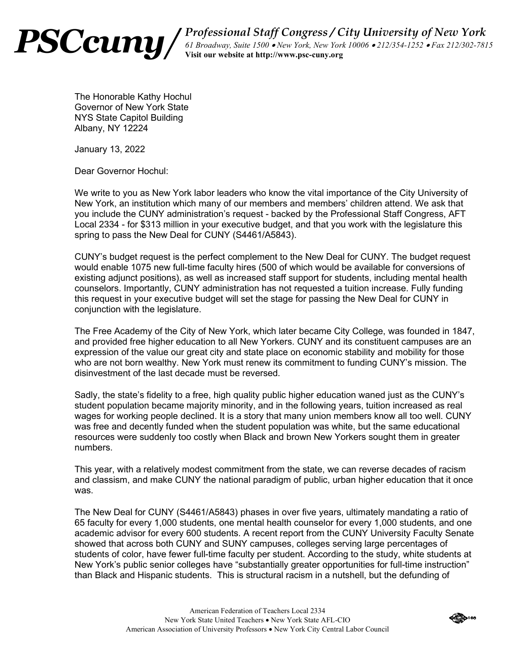

Professional Staff Congress / City University of New York 61 Broadway, Suite 1500 . New York, New York 10006 . 212/354-1252 . Fax 212/302-7815 Visit our website at http://www.psc-cuny.org

The Honorable Kathy Hochul Governor of New York State NYS State Capitol Building Albany, NY 12224

January 13, 2022

Dear Governor Hochul:

We write to you as New York labor leaders who know the vital importance of the City University of New York, an institution which many of our members and members' children attend. We ask that you include the CUNY administration's request - backed by the Professional Staff Congress, AFT Local 2334 - for \$313 million in your executive budget, and that you work with the legislature this spring to pass the New Deal for CUNY (S4461/A5843).

CUNY's budget request is the perfect complement to the New Deal for CUNY. The budget request would enable 1075 new full-time faculty hires (500 of which would be available for conversions of existing adjunct positions), as well as increased staff support for students, including mental health counselors, Importantly, CUNY administration has not requested a tuition increase. Fully funding this request in your executive budget will set the stage for passing the New Deal for CUNY in conjunction with the legislature.

The Free Academy of the City of New York, which later became City College, was founded in 1847, and provided free higher education to all New Yorkers. CUNY and its constituent campuses are an expression of the value our great city and state place on economic stability and mobility for those who are not born wealthy. New York must renew its commitment to funding CUNY's mission. The disinvestment of the last decade must be reversed.

Sadly, the state's fidelity to a free, high quality public higher education waned just as the CUNY's student population became majority minority, and in the following years, tuition increased as real wages for working people declined. It is a story that many union members know all too well. CUNY was free and decently funded when the student population was white, but the same educational resources were suddenly too costly when Black and brown New Yorkers sought them in greater numbers.

This year, with a relatively modest commitment from the state, we can reverse decades of racism and classism, and make CUNY the national paradigm of public, urban higher education that it once was.

The New Deal for CUNY (S4461/A5843) phases in over five years, ultimately mandating a ratio of 65 faculty for every 1,000 students, one mental health counselor for every 1,000 students, and one academic advisor for every 600 students. A recent report from the CUNY University Faculty Senate showed that across both CUNY and SUNY campuses, colleges serving large percentages of students of color, have fewer full-time faculty per student. According to the study, white students at New York's public senior colleges have "substantially greater opportunities for full-time instruction" than Black and Hispanic students. This is structural racism in a nutshell, but the defunding of